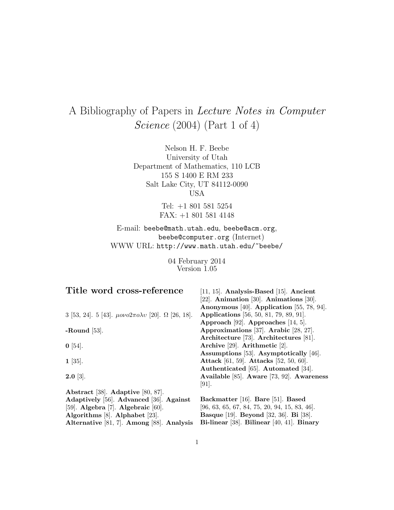# A Bibliography of Papers in Lecture Notes in Computer Science (2004) (Part 1 of 4)

Nelson H. F. Beebe University of Utah Department of Mathematics, 110 LCB 155 S 1400 E RM 233 Salt Lake City, UT 84112-0090 USA

> Tel: +1 801 581 5254 FAX: +1 801 581 4148

E-mail: beebe@math.utah.edu, beebe@acm.org, beebe@computer.org (Internet) WWW URL: http://www.math.utah.edu/~beebe/

> 04 February 2014 Version 1.05

| Title word cross-reference                                               | [11, 15]. Analysis-Based [15]. Ancient                      |
|--------------------------------------------------------------------------|-------------------------------------------------------------|
|                                                                          | [22]. Animation [30]. Animations [30].                      |
|                                                                          | Anonymous [40]. Application [55, 78, 94].                   |
| 3 [53, 24]. 5 [43]. $\mu o\nu o2\pi o\lambda v$ [20]. $\Omega$ [26, 18]. | <b>Applications</b> [56, 50, 81, 79, 89, 91].               |
|                                                                          | Approach [92]. Approaches [14, 5].                          |
| -Round $[53]$ .                                                          | Approximations [37]. Arabic [28, 27].                       |
|                                                                          | Architecture [73]. Architectures [81].                      |
| $\mathbf{0}$ [54].                                                       | Archive [29]. Arithmetic [2].                               |
|                                                                          | Assumptions [53]. Asymptotically [46].                      |
| $1 \; [35]$ .                                                            | Attack [61, 59]. Attacks [52, 50, 60].                      |
|                                                                          | Authenticated [65]. Automated [34].                         |
| $2.0 \; [3]$ .                                                           | Available [85]. Aware [73, 92]. Awareness                   |
|                                                                          | $[91]$ .                                                    |
| Abstract [38]. Adaptive [80, 87].                                        |                                                             |
| Adaptively [56]. Advanced [36]. Against                                  | Backmatter [16]. Bare [51]. Based                           |
| [59]. Algebra [7]. Algebraic $[60]$ .                                    | $[96, 63, 65, 67, 84, 75, 20, 94, 15, 83, 46].$             |
| Algorithms [8]. Alphabet [23].                                           | <b>Basque</b> [19]. <b>Beyond</b> [32, 36]. <b>Bi</b> [38]. |
| Alternative [81, 7]. Among [88]. Analysis                                | Bi-linear [38]. Bilinear [40, 41]. Binary                   |
|                                                                          |                                                             |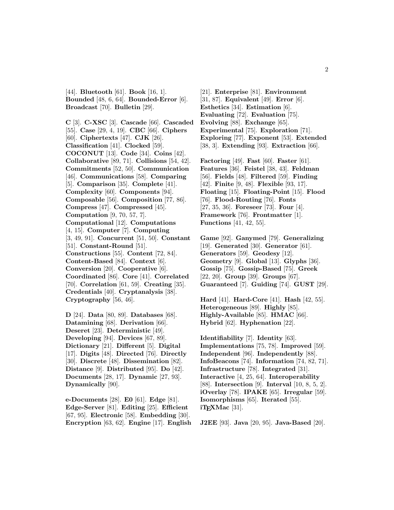[44]. **Bluetooth** [61]. **Book** [16, 1]. **Bounded** [48, 6, 64]. **Bounded-Error** [6]. **Broadcast** [70]. **Bulletin** [29].

**C** [3]. **C-XSC** [3]. **Cascade** [66]. **Cascaded** [55]. **Case** [29, 4, 19]. **CBC** [66]. **Ciphers** [60]. **Ciphertexts** [47]. **CJK** [26]. **Classification** [41]. **Clocked** [59]. **COCONUT** [13]. **Code** [34]. **Coins** [42]. **Collaborative** [89, 71]. **Collisions** [54, 42]. **Commitments** [52, 50]. **Communication** [46]. **Communications** [58]. **Comparing** [5]. **Comparison** [35]. **Complete** [41]. **Complexity** [60]. **Components** [94]. **Composable** [56]. **Composition** [77, 86]. **Compress** [47]. **Compressed** [45]. **Computation** [9, 70, 57, 7]. **Computational** [12]. **Computations** [4, 15]. **Computer** [7]. **Computing** [3, 49, 91]. **Concurrent** [51, 50]. **Constant** [51]. **Constant-Round** [51]. **Constructions** [55]. **Content** [72, 84]. **Content-Based** [84]. **Context** [6]. **Conversion** [20]. **Cooperative** [6]. **Coordinated** [86]. **Core** [41]. **Correlated** [70]. **Correlation** [61, 59]. **Creating** [35]. **Credentials** [40]. **Cryptanalysis** [38]. **Cryptography** [56, 46].

**D** [24]. **Data** [80, 89]. **Databases** [68]. **Datamining** [68]. **Derivation** [66]. **Deseret** [23]. **Deterministic** [49]. **Developing** [94]. **Devices** [67, 89]. **Dictionary** [21]. **Different** [5]. **Digital** [17]. **Digits** [48]. **Directed** [76]. **Directly** [30]. **Discrete** [48]. **Dissemination** [82]. **Distance** [9]. **Distributed** [95]. **Do** [42]. **Documents** [28, 17]. **Dynamic** [27, 93]. **Dynamically** [90].

**e-Documents** [28]. **E0** [61]. **Edge** [81]. **Edge-Server** [81]. **Editing** [25]. **Efficient** [67, 95]. **Electronic** [58]. **Embedding** [30]. **Encryption** [63, 62]. **Engine** [17]. **English**

[21]. **Enterprise** [81]. **Environment** [31, 87]. **Equivalent** [49]. **Error** [6]. **Esthetics** [34]. **Estimation** [6]. **Evaluating** [72]. **Evaluation** [75]. **Evolving** [88]. **Exchange** [65]. **Experimental** [75]. **Exploration** [71]. **Exploring** [77]. **Exponent** [53]. **Extended** [38, 3]. **Extending** [93]. **Extraction** [66].

**Factoring** [49]. **Fast** [60]. **Faster** [61]. **Features** [36]. **Feistel** [38, 43]. **Feldman** [56]. **Fields** [48]. **Filtered** [59]. **Finding** [42]. **Finite** [9, 48]. **Flexible** [93, 17]. **Floating** [15]. **Floating-Point** [15]. **Flood** [76]. **Flood-Routing** [76]. **Fonts** [27, 35, 36]. **Foreseer** [73]. **Four** [4]. **Framework** [76]. **Frontmatter** [1]. **Functions** [41, 42, 55].

**Game** [92]. **Ganymed** [79]. **Generalizing** [19]. **Generated** [30]. **Generator** [61]. **Generators** [59]. **Geodesy** [12]. **Geometry** [9]. **Global** [13]. **Glyphs** [36]. **Gossip** [75]. **Gossip-Based** [75]. **Greek** [22, 20]. **Group** [39]. **Groups** [67]. **Guaranteed** [7]. **Guiding** [74]. **GUST** [29].

**Hard** [41]. **Hard-Core** [41]. **Hash** [42, 55]. **Heterogeneous** [89]. **Highly** [85]. **Highly-Available** [85]. **HMAC** [66]. **Hybrid** [62]. **Hyphenation** [22].

**Identifiability** [7]. **Identity** [63]. **Implementations** [75, 78]. **Improved** [59]. **Independent** [96]. **Independently** [88]. **InfoBeacons** [74]. **Information** [74, 82, 71]. **Infrastructure** [78]. **Integrated** [31]. **Interactive** [4, 25, 64]. **Interoperability** [88]. **Intersection** [9]. **Interval** [10, 8, 5, 2]. **iOverlay** [78]. **IPAKE** [65]. **Irregular** [59]. **Isomorphisms** [65]. **Iterated** [55]. **iT<sub>E</sub>XMac** [31].

**J2EE** [93]. **Java** [20, 95]. **Java-Based** [20].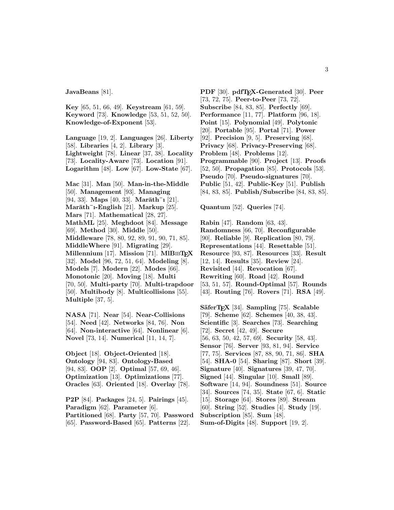**JavaBeans** [81].

**Key** [65, 51, 66, 49]. **Keystream** [61, 59]. **Keyword** [73]. **Knowledge** [53, 51, 52, 50]. **Knowledge-of-Exponent** [53].

**Language** [19, 2]. **Languages** [26]. **Liberty** [58]. **Libraries** [4, 2]. **Library** [3]. **Lightweight** [78]. **Linear** [37, 38]. **Locality** [73]. **Locality-Aware** [73]. **Location** [91]. **Logarithm** [48]. **Low** [67]. **Low-State** [67].

**Mac** [31]. **Man** [50]. **Man-in-the-Middle** [50]. **Management** [93]. **Managing** [94, 33]. **Maps** [40, 33]. **Marāth**<sup>-</sup>**1** [21]. **Mar¯ath¯ı-English** [21]. **Markup** [25]. **Mars** [71]. **Mathematical** [28, 27]. **MathML** [25]. **Meghdoot** [84]. **Message** [69]. **Method** [30]. **Middle** [50]. **Middleware** [78, 80, 92, 89, 91, 90, 71, 85]. **MiddleWhere** [91]. **Migrating** [29]. **Millennium** [17]. **Mission** [71]. **MlB**ib**TEX** [32]. **Model** [96, 72, 51, 64]. **Modeling** [8]. **Models** [7]. **Modern** [22]. **Modes** [66]. **Monotonic** [20]. **Moving** [18]. **Multi** [70, 50]. **Multi-party** [70]. **Multi-trapdoor** [50]. **Multibody** [8]. **Multicollisions** [55]. **Multiple** [37, 5].

**NASA** [71]. **Near** [54]. **Near-Collisions** [54]. **Need** [42]. **Networks** [84, 76]. **Non** [64]. **Non-interactive** [64]. **Nonlinear** [6]. **Novel** [73, 14]. **Numerical** [11, 14, 7].

**Object** [18]. **Object-Oriented** [18]. **Ontology** [94, 83]. **Ontology-Based** [94, 83]. **OOP** [2]. **Optimal** [57, 69, 46]. **Optimization** [13]. **Optimizations** [77]. **Oracles** [63]. **Oriented** [18]. **Overlay** [78].

**P2P** [84]. **Packages** [24, 5]. **Pairings** [45]. **Paradigm** [62]. **Parameter** [6]. **Partitioned** [68]. **Party** [57, 70]. **Password** [65]. **Password-Based** [65]. **Patterns** [22].

**PDF** [30]. **pdfTEX-Generated** [30]. **Peer** [73, 72, 75]. **Peer-to-Peer** [73, 72]. **Subscribe** [84, 83, 85]. **Perfectly** [69]. **Performance** [11, 77]. **Platform** [96, 18]. **Point** [15]. **Polynomial** [49]. **Polytonic** [20]. **Portable** [95]. **Portal** [71]. **Power** [92]. **Precision** [9, 5]. **Preserving** [68]. **Privacy** [68]. **Privacy-Preserving** [68]. **Problem** [48]. **Problems** [12]. **Programmable** [90]. **Project** [13]. **Proofs** [52, 50]. **Propagation** [85]. **Protocols** [53]. **Pseudo** [70]. **Pseudo-signatures** [70]. **Public** [51, 42]. **Public-Key** [51]. **Publish** [84, 83, 85]. **Publish/Subscribe** [84, 83, 85].

**Quantum** [52]. **Queries** [74].

**Rabin** [47]. **Random** [63, 43]. **Randomness** [66, 70]. **Reconfigurable** [90]. **Reliable** [9]. **Replication** [80, 79]. **Representations** [44]. **Resettable** [51]. **Resource** [93, 87]. **Resources** [33]. **Result** [12, 14]. **Results** [35]. **Review** [24]. **Revisited** [44]. **Revocation** [67]. **Rewriting** [60]. **Road** [42]. **Round** [53, 51, 57]. **Round-Optimal** [57]. **Rounds** [43]. **Routing** [76]. **Rovers** [71]. **RSA** [49].

**S¨aferTEX** [34]. **Sampling** [75]. **Scalable** [79]. **Scheme** [62]. **Schemes** [40, 38, 43]. **Scientific** [3]. **Searches** [73]. **Searching** [72]. **Secret** [42, 49]. **Secure** [56, 63, 50, 42, 57, 69]. **Security** [58, 43]. **Sensor** [76]. **Server** [93, 81, 94]. **Service** [77, 75]. **Services** [87, 88, 90, 71, 86]. **SHA** [54]. **SHA-0** [54]. **Sharing** [87]. **Short** [39]. **Signature** [40]. **Signatures** [39, 47, 70]. **Signed** [44]. **Singular** [10]. **Small** [89]. **Software** [14, 94]. **Soundness** [51]. **Source** [34]. **Sources** [74, 35]. **State** [67, 6]. **Static** [15]. **Storage** [64]. **Stores** [89]. **Stream** [60]. **String** [52]. **Studies** [4]. **Study** [19]. **Subscription** [85]. **Sum** [48]. **Sum-of-Digits** [48]. **Support** [19, 2].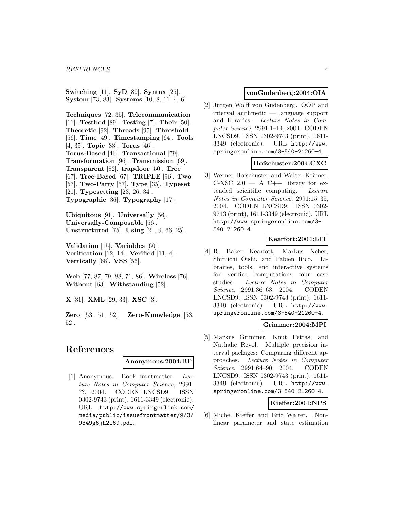**Switching** [11]. **SyD** [89]. **Syntax** [25]. **System** [73, 83]. **Systems** [10, 8, 11, 4, 6].

**Techniques** [72, 35]. **Telecommunication** [11]. **Testbed** [89]. **Testing** [7]. **Their** [50]. **Theoretic** [92]. **Threads** [95]. **Threshold** [56]. **Time** [49]. **Timestamping** [64]. **Tools** [4, 35]. **Topic** [33]. **Torus** [46]. **Torus-Based** [46]. **Transactional** [79]. **Transformation** [96]. **Transmission** [69]. **Transparent** [82]. **trapdoor** [50]. **Tree** [67]. **Tree-Based** [67]. **TRIPLE** [96]. **Two** [57]. **Two-Party** [57]. **Type** [35]. **Typeset** [21]. **Typesetting** [23, 26, 34]. **Typographic** [36]. **Typography** [17].

**Ubiquitous** [91]. **Universally** [56]. **Universally-Composable** [56]. **Unstructured** [75]. **Using** [21, 9, 66, 25].

**Validation** [15]. **Variables** [60]. **Verification** [12, 14]. **Verified** [11, 4]. **Vertically** [68]. **VSS** [56].

**Web** [77, 87, 79, 88, 71, 86]. **Wireless** [76]. **Without** [63]. **Withstanding** [52].

**X** [31]. **XML** [29, 33]. **XSC** [3].

**Zero** [53, 51, 52]. **Zero-Knowledge** [53, 52].

# **References**

### **Anonymous:2004:BF**

[1] Anonymous. Book frontmatter. Lecture Notes in Computer Science, 2991: ??, 2004. CODEN LNCSD9. ISSN 0302-9743 (print), 1611-3349 (electronic). URL http://www.springerlink.com/ media/public/issuefrontmatter/9/3/ 9349g6jh2l69.pdf.

# **vonGudenberg:2004:OIA**

[2] Jürgen Wolff von Gudenberg. OOP and interval arithmetic — language support and libraries. Lecture Notes in Computer Science, 2991:1–14, 2004. CODEN LNCSD9. ISSN 0302-9743 (print), 1611- 3349 (electronic). URL http://www. springeronline.com/3-540-21260-4.

### **Hofschuster:2004:CXC**

[3] Werner Hofschuster and Walter Krämer. C-XSC  $2.0 - A$  C++ library for extended scientific computing. Lecture Notes in Computer Science, 2991:15–35, 2004. CODEN LNCSD9. ISSN 0302- 9743 (print), 1611-3349 (electronic). URL http://www.springeronline.com/3- 540-21260-4.

# **Kearfott:2004:LTI**

[4] R. Baker Kearfott, Markus Neher, Shin'ichi Oishi, and Fabien Rico. Libraries, tools, and interactive systems for verified computations four case studies. Lecture Notes in Computer Science, 2991:36–63, 2004. CODEN LNCSD9. ISSN 0302-9743 (print), 1611- 3349 (electronic). URL http://www. springeronline.com/3-540-21260-4.

### **Grimmer:2004:MPI**

[5] Markus Grimmer, Knut Petras, and Nathalie Revol. Multiple precision interval packages: Comparing different approaches. Lecture Notes in Computer Science, 2991:64–90, 2004. CODEN LNCSD9. ISSN 0302-9743 (print), 1611- 3349 (electronic). URL http://www. springeronline.com/3-540-21260-4.

# **Kieffer:2004:NPS**

[6] Michel Kieffer and Eric Walter. Nonlinear parameter and state estimation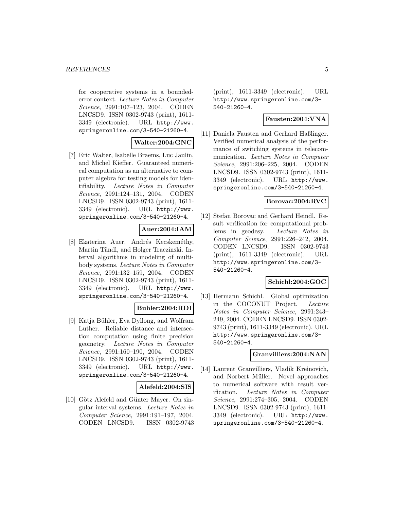for cooperative systems in a boundederror context. Lecture Notes in Computer Science, 2991:107–123, 2004. CODEN LNCSD9. ISSN 0302-9743 (print), 1611- 3349 (electronic). URL http://www. springeronline.com/3-540-21260-4.

# **Walter:2004:GNC**

[7] Eric Walter, Isabelle Braems, Luc Jaulin, and Michel Kieffer. Guaranteed numerical computation as an alternative to computer algebra for testing models for identifiability. Lecture Notes in Computer Science, 2991:124–131, 2004. CODEN LNCSD9. ISSN 0302-9743 (print), 1611- 3349 (electronic). URL http://www. springeronline.com/3-540-21260-4.

### **Auer:2004:IAM**

[8] Ekaterina Auer, Andrés Kecskeméthy, Martin Tändl, and Holger Traczinski. Interval algorithms in modeling of multibody systems. Lecture Notes in Computer Science, 2991:132–159, 2004. CODEN LNCSD9. ISSN 0302-9743 (print), 1611- 3349 (electronic). URL http://www. springeronline.com/3-540-21260-4.

# **Buhler:2004:RDI**

[9] Katja B¨uhler, Eva Dyllong, and Wolfram Luther. Reliable distance and intersection computation using finite precision geometry. Lecture Notes in Computer Science, 2991:160–190, 2004. CODEN LNCSD9. ISSN 0302-9743 (print), 1611- 3349 (electronic). URL http://www. springeronline.com/3-540-21260-4.

# **Alefeld:2004:SIS**

[10] Götz Alefeld and Günter Mayer. On singular interval systems. Lecture Notes in Computer Science, 2991:191–197, 2004. CODEN LNCSD9. ISSN 0302-9743 (print), 1611-3349 (electronic). URL http://www.springeronline.com/3- 540-21260-4.

# **Fausten:2004:VNA**

[11] Daniela Fausten and Gerhard Haßlinger. Verified numerical analysis of the performance of switching systems in telecommunication. Lecture Notes in Computer Science, 2991:206–225, 2004. CODEN LNCSD9. ISSN 0302-9743 (print), 1611- 3349 (electronic). URL http://www. springeronline.com/3-540-21260-4.

# **Borovac:2004:RVC**

[12] Stefan Borovac and Gerhard Heindl. Result verification for computational problems in geodesy. Lecture Notes in Computer Science, 2991:226–242, 2004. CODEN LNCSD9. ISSN 0302-9743 (print), 1611-3349 (electronic). URL http://www.springeronline.com/3- 540-21260-4.

### **Schichl:2004:GOC**

[13] Hermann Schichl. Global optimization in the COCONUT Project. Lecture Notes in Computer Science, 2991:243– 249, 2004. CODEN LNCSD9. ISSN 0302- 9743 (print), 1611-3349 (electronic). URL http://www.springeronline.com/3- 540-21260-4.

# **Granvilliers:2004:NAN**

[14] Laurent Granvilliers, Vladik Kreinovich, and Norbert Müller. Novel approaches to numerical software with result verification. Lecture Notes in Computer Science, 2991:274–305, 2004. CODEN LNCSD9. ISSN 0302-9743 (print), 1611- 3349 (electronic). URL http://www. springeronline.com/3-540-21260-4.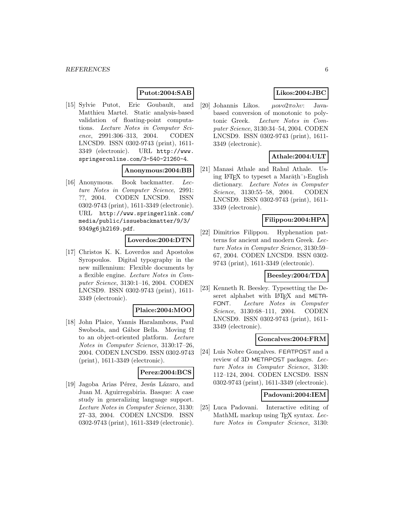### **Putot:2004:SAB**

[15] Sylvie Putot, Eric Goubault, and Matthieu Martel. Static analysis-based validation of floating-point computations. Lecture Notes in Computer Science, 2991:306–313, 2004. CODEN LNCSD9. ISSN 0302-9743 (print), 1611- 3349 (electronic). URL http://www. springeronline.com/3-540-21260-4.

# **Anonymous:2004:BB**

[16] Anonymous. Book backmatter. Lecture Notes in Computer Science, 2991: ??, 2004. CODEN LNCSD9. ISSN 0302-9743 (print), 1611-3349 (electronic). URL http://www.springerlink.com/ media/public/issuebackmatter/9/3/ 9349g6jh2l69.pdf.

### **Loverdos:2004:DTN**

[17] Christos K. K. Loverdos and Apostolos Syropoulos. Digital typography in the new millennium: Flexible documents by a flexible engine. Lecture Notes in Computer Science, 3130:1–16, 2004. CODEN LNCSD9. ISSN 0302-9743 (print), 1611- 3349 (electronic).

### **Plaice:2004:MOO**

[18] John Plaice, Yannis Haralambous, Paul Swoboda, and Gábor Bella. Moving  $\Omega$ to an object-oriented platform. Lecture Notes in Computer Science, 3130:17–26, 2004. CODEN LNCSD9. ISSN 0302-9743 (print), 1611-3349 (electronic).

# **Perez:2004:BCS**

[19] Jagoba Arias Pérez, Jesús Lázaro, and Juan M. Aguirregabiria. Basque: A case study in generalizing language support. Lecture Notes in Computer Science, 3130: 27–33, 2004. CODEN LNCSD9. ISSN 0302-9743 (print), 1611-3349 (electronic).

# **Likos:2004:JBC**

[20] Johannis Likos.  $\mu o\nu o 2\pi o \lambda v$ : Javabased conversion of monotonic to polytonic Greek. Lecture Notes in Computer Science, 3130:34–54, 2004. CODEN LNCSD9. ISSN 0302-9743 (print), 1611- 3349 (electronic).

# **Athale:2004:ULT**

[21] Manasi Athale and Rahul Athale. Using LAT<sub>EX</sub> to typeset a Mar $\bar{a}$ th<sup>-</sup><sub>1</sub>-English dictionary. Lecture Notes in Computer Science, 3130:55–58, 2004. CODEN LNCSD9. ISSN 0302-9743 (print), 1611- 3349 (electronic).

# **Filippou:2004:HPA**

[22] Dimitrios Filippou. Hyphenation patterns for ancient and modern Greek. Lecture Notes in Computer Science, 3130:59– 67, 2004. CODEN LNCSD9. ISSN 0302- 9743 (print), 1611-3349 (electronic).

# **Beesley:2004:TDA**

[23] Kenneth R. Beesley. Typesetting the Deseret alphabet with LAT<sub>E</sub>X and META-FONT. Lecture Notes in Computer Science, 3130:68–111, 2004. CODEN LNCSD9. ISSN 0302-9743 (print), 1611- 3349 (electronic).

# **Goncalves:2004:FRM**

[24] Luis Nobre Gonçalves. FEATPOST and a review of 3D METAPOST packages. Lecture Notes in Computer Science, 3130: 112–124, 2004. CODEN LNCSD9. ISSN 0302-9743 (print), 1611-3349 (electronic).

### **Padovani:2004:IEM**

[25] Luca Padovani. Interactive editing of MathML markup using T<sub>E</sub>X syntax. Lecture Notes in Computer Science, 3130: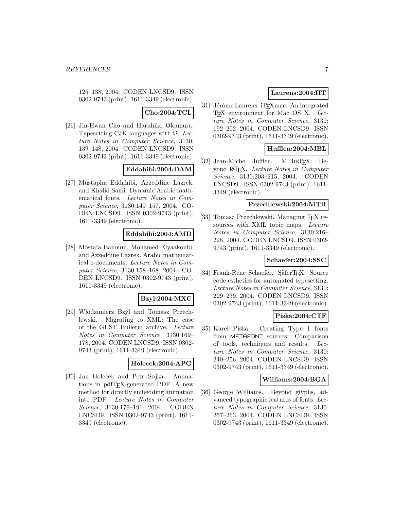125–138, 2004. CODEN LNCSD9. ISSN 0302-9743 (print), 1611-3349 (electronic).

# **Cho:2004:TCL**

[26] Jin-Hwan Cho and Haruhiko Okumura. Typesetting CJK languages with  $\Omega$ . Lecture Notes in Computer Science, 3130: 139–148, 2004. CODEN LNCSD9. ISSN 0302-9743 (print), 1611-3349 (electronic).

# **Eddahibi:2004:DAM**

[27] Mustapha Eddahibi, Azzeddine Lazrek, and Khalid Sami. Dynamic Arabic mathematical fonts. Lecture Notes in Computer Science, 3130:149–157, 2004. CO-DEN LNCSD9. ISSN 0302-9743 (print), 1611-3349 (electronic).

# **Eddahibi:2004:AMD**

[28] Mostafa Banouni, Mohamed Elyaakoubi, and Azzeddine Lazrek. Arabic mathematical e-documents. Lecture Notes in Computer Science, 3130:158–168, 2004. CO-DEN LNCSD9. ISSN 0302-9743 (print), 1611-3349 (electronic).

### **Bzyl:2004:MXC**

[29] Włodzimierz Bzyl and Tomasz Przechlewski. Migrating to XML: The case of the GUST Bulletin archive. Lecture Notes in Computer Science, 3130:169– 178, 2004. CODEN LNCSD9. ISSN 0302- 9743 (print), 1611-3349 (electronic).

#### **Holecek:2004:APG**

[30] Jan Holeček and Petr Sojka. Animations in pdfTEX-generated PDF: A new method for directly embedding animation into PDF. Lecture Notes in Computer Science, 3130:179–191, 2004. CODEN LNCSD9. ISSN 0302-9743 (print), 1611- 3349 (electronic).

# **Laurens:2004:IIT**

[31] Jérôme Laurens. iT<sub>E</sub>Xmac: An integrated T<sub>E</sub>X environment for Mac OS X. Lecture Notes in Computer Science, 3130: 192–202, 2004. CODEN LNCSD9. ISSN 0302-9743 (print), 1611-3349 (electronic).

# **Hufflen:2004:MBL**

[32] Jean-Michel Hufflen. MIBIBT<sub>E</sub>X: Beyond LATEX. Lecture Notes in Computer Science, 3130:203–215, 2004. CODEN LNCSD9. ISSN 0302-9743 (print), 1611- 3349 (electronic).

### **Przechlewski:2004:MTR**

[33] Tomasz Przechlewski. Managing T<sub>E</sub>X resources with XML topic maps. Lecture Notes in Computer Science, 3130:216– 228, 2004. CODEN LNCSD9. ISSN 0302- 9743 (print), 1611-3349 (electronic).

### **Schaefer:2004:SSC**

[34] Frank-Rene Schaefer. SäferTEX: Source code esthetics for automated typesetting. Lecture Notes in Computer Science, 3130: 229–239, 2004. CODEN LNCSD9. ISSN 0302-9743 (print), 1611-3349 (electronic).

### **Piska:2004:CTF**

[35] Karel Píška. Creating Type 1 fonts from METAFONT sources: Comparison of tools, techniques and results. Lecture Notes in Computer Science, 3130: 240–256, 2004. CODEN LNCSD9. ISSN 0302-9743 (print), 1611-3349 (electronic).

### **Williams:2004:BGA**

[36] George Williams. Beyond glyphs, advanced typographic features of fonts. Lecture Notes in Computer Science, 3130: 257–263, 2004. CODEN LNCSD9. ISSN 0302-9743 (print), 1611-3349 (electronic).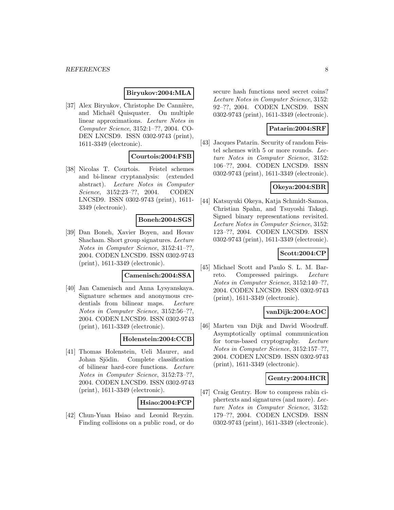### **Biryukov:2004:MLA**

[37] Alex Biryukov, Christophe De Cannière, and Michaël Quisquater. On multiple linear approximations. Lecture Notes in Computer Science, 3152:1–??, 2004. CO-DEN LNCSD9. ISSN 0302-9743 (print), 1611-3349 (electronic).

### **Courtois:2004:FSB**

[38] Nicolas T. Courtois. Feistel schemes and bi-linear cryptanalysis: (extended abstract). Lecture Notes in Computer Science, 3152:23–??, 2004. CODEN LNCSD9. ISSN 0302-9743 (print), 1611- 3349 (electronic).

# **Boneh:2004:SGS**

[39] Dan Boneh, Xavier Boyen, and Hovav Shacham. Short group signatures. Lecture Notes in Computer Science, 3152:41–??, 2004. CODEN LNCSD9. ISSN 0302-9743 (print), 1611-3349 (electronic).

# **Camenisch:2004:SSA**

[40] Jan Camenisch and Anna Lysyanskaya. Signature schemes and anonymous credentials from bilinear maps. Lecture Notes in Computer Science, 3152:56–??, 2004. CODEN LNCSD9. ISSN 0302-9743 (print), 1611-3349 (electronic).

# **Holenstein:2004:CCB**

[41] Thomas Holenstein, Ueli Maurer, and Johan Sjödin. Complete classification of bilinear hard-core functions. Lecture Notes in Computer Science, 3152:73–??, 2004. CODEN LNCSD9. ISSN 0302-9743 (print), 1611-3349 (electronic).

### **Hsiao:2004:FCP**

[42] Chun-Yuan Hsiao and Leonid Reyzin. Finding collisions on a public road, or do secure hash functions need secret coins? Lecture Notes in Computer Science, 3152: 92–??, 2004. CODEN LNCSD9. ISSN 0302-9743 (print), 1611-3349 (electronic).

# **Patarin:2004:SRF**

[43] Jacques Patarin. Security of random Feistel schemes with 5 or more rounds. Lecture Notes in Computer Science, 3152: 106–??, 2004. CODEN LNCSD9. ISSN 0302-9743 (print), 1611-3349 (electronic).

# **Okeya:2004:SBR**

[44] Katsuyuki Okeya, Katja Schmidt-Samoa, Christian Spahn, and Tsuyoshi Takagi. Signed binary representations revisited. Lecture Notes in Computer Science, 3152: 123–??, 2004. CODEN LNCSD9. ISSN 0302-9743 (print), 1611-3349 (electronic).

### **Scott:2004:CP**

[45] Michael Scott and Paulo S. L. M. Barreto. Compressed pairings. Lecture Notes in Computer Science, 3152:140–??, 2004. CODEN LNCSD9. ISSN 0302-9743 (print), 1611-3349 (electronic).

## **vanDijk:2004:AOC**

[46] Marten van Dijk and David Woodruff. Asymptotically optimal communication for torus-based cryptography. Lecture Notes in Computer Science, 3152:157–??, 2004. CODEN LNCSD9. ISSN 0302-9743 (print), 1611-3349 (electronic).

# **Gentry:2004:HCR**

[47] Craig Gentry. How to compress rabin ciphertexts and signatures (and more). Lecture Notes in Computer Science, 3152: 179–??, 2004. CODEN LNCSD9. ISSN 0302-9743 (print), 1611-3349 (electronic).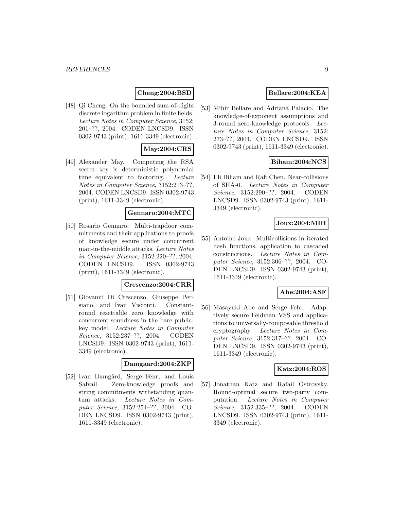# **Cheng:2004:BSD**

[48] Qi Cheng. On the bounded sum-of-digits discrete logarithm problem in finite fields. Lecture Notes in Computer Science, 3152: 201–??, 2004. CODEN LNCSD9. ISSN 0302-9743 (print), 1611-3349 (electronic).

# **May:2004:CRS**

[49] Alexander May. Computing the RSA secret key is deterministic polynomial time equivalent to factoring. Lecture Notes in Computer Science, 3152:213–??, 2004. CODEN LNCSD9. ISSN 0302-9743 (print), 1611-3349 (electronic).

# **Gennaro:2004:MTC**

[50] Rosario Gennaro. Multi-trapdoor commitments and their applications to proofs of knowledge secure under concurrent man-in-the-middle attacks. Lecture Notes in Computer Science, 3152:220–??, 2004. CODEN LNCSD9. ISSN 0302-9743 (print), 1611-3349 (electronic).

### **Crescenzo:2004:CRR**

[51] Giovanni Di Crescenzo, Giuseppe Persiano, and Ivan Visconti. Constantround resettable zero knowledge with concurrent soundness in the bare publickey model. Lecture Notes in Computer Science, 3152:237–??, 2004. CODEN LNCSD9. ISSN 0302-9743 (print), 1611- 3349 (electronic).

#### **Damgaard:2004:ZKP**

[52] Ivan Damgård, Serge Fehr, and Louis Salvail. Zero-knowledge proofs and string commitments withstanding quantum attacks. Lecture Notes in Computer Science, 3152:254–??, 2004. CO-DEN LNCSD9. ISSN 0302-9743 (print), 1611-3349 (electronic).

# **Bellare:2004:KEA**

[53] Mihir Bellare and Adriana Palacio. The knowledge-of-exponent assumptions and 3-round zero-knowledge protocols. Lecture Notes in Computer Science, 3152: 273–??, 2004. CODEN LNCSD9. ISSN 0302-9743 (print), 1611-3349 (electronic).

# **Biham:2004:NCS**

[54] Eli Biham and Rafi Chen. Near-collisions of SHA-0. Lecture Notes in Computer Science, 3152:290–??, 2004. CODEN LNCSD9. ISSN 0302-9743 (print), 1611- 3349 (electronic).

# **Joux:2004:MIH**

[55] Antoine Joux. Multicollisions in iterated hash functions. application to cascaded constructions. Lecture Notes in Computer Science, 3152:306–??, 2004. CO-DEN LNCSD9. ISSN 0302-9743 (print), 1611-3349 (electronic).

# **Abe:2004:ASF**

[56] Masayuki Abe and Serge Fehr. Adaptively secure Feldman VSS and applications to universally-composable threshold cryptography. Lecture Notes in Computer Science, 3152:317–??, 2004. CO-DEN LNCSD9. ISSN 0302-9743 (print), 1611-3349 (electronic).

### **Katz:2004:ROS**

[57] Jonathan Katz and Rafail Ostrovsky. Round-optimal secure two-party computation. Lecture Notes in Computer Science, 3152:335–??, 2004. CODEN LNCSD9. ISSN 0302-9743 (print), 1611- 3349 (electronic).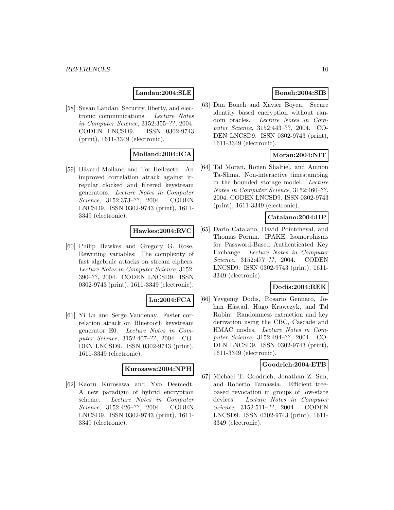# **Landau:2004:SLE**

[58] Susan Landau. Security, liberty, and electronic communications. Lecture Notes in Computer Science, 3152:355–??, 2004. CODEN LNCSD9. ISSN 0302-9743 (print), 1611-3349 (electronic).

# **Molland:2004:ICA**

[59] Håvard Molland and Tor Helleseth. An improved correlation attack against irregular clocked and filtered keystream generators. Lecture Notes in Computer Science, 3152:373–??, 2004. CODEN LNCSD9. ISSN 0302-9743 (print), 1611- 3349 (electronic).

#### **Hawkes:2004:RVC**

[60] Philip Hawkes and Gregory G. Rose. Rewriting variables: The complexity of fast algebraic attacks on stream ciphers. Lecture Notes in Computer Science, 3152: 390–??, 2004. CODEN LNCSD9. ISSN 0302-9743 (print), 1611-3349 (electronic).

#### **Lu:2004:FCA**

[61] Yi Lu and Serge Vaudenay. Faster correlation attack on Bluetooth keystream generator E0. Lecture Notes in Computer Science, 3152:407–??, 2004. CO-DEN LNCSD9. ISSN 0302-9743 (print), 1611-3349 (electronic).

### **Kurosawa:2004:NPH**

[62] Kaoru Kurosawa and Yvo Desmedt. A new paradigm of hybrid encryption scheme. Lecture Notes in Computer Science, 3152:426–??, 2004. CODEN LNCSD9. ISSN 0302-9743 (print), 1611- 3349 (electronic).

# **Boneh:2004:SIB**

[63] Dan Boneh and Xavier Boyen. Secure identity based encryption without random oracles. Lecture Notes in Computer Science, 3152:443–??, 2004. CO-DEN LNCSD9. ISSN 0302-9743 (print), 1611-3349 (electronic).

# **Moran:2004:NIT**

[64] Tal Moran, Ronen Shaltiel, and Amnon Ta-Shma. Non-interactive timestamping in the bounded storage model. Lecture Notes in Computer Science, 3152:460–??, 2004. CODEN LNCSD9. ISSN 0302-9743 (print), 1611-3349 (electronic).

#### **Catalano:2004:IIP**

[65] Dario Catalano, David Pointcheval, and Thomas Pornin. IPAKE: Isomorphisms for Password-Based Authenticated Key Exchange. Lecture Notes in Computer Science, 3152:477–??, 2004. CODEN LNCSD9. ISSN 0302-9743 (print), 1611- 3349 (electronic).

# **Dodis:2004:REK**

[66] Yevgeniy Dodis, Rosario Gennaro, Johan Håstad, Hugo Krawczyk, and Tal Rabin. Randomness extraction and key derivation using the CBC, Cascade and HMAC modes. Lecture Notes in Computer Science, 3152:494–??, 2004. CO-DEN LNCSD9. ISSN 0302-9743 (print), 1611-3349 (electronic).

#### **Goodrich:2004:ETB**

[67] Michael T. Goodrich, Jonathan Z. Sun, and Roberto Tamassia. Efficient treebased revocation in groups of low-state devices. Lecture Notes in Computer Science, 3152:511–??, 2004. CODEN LNCSD9. ISSN 0302-9743 (print), 1611- 3349 (electronic).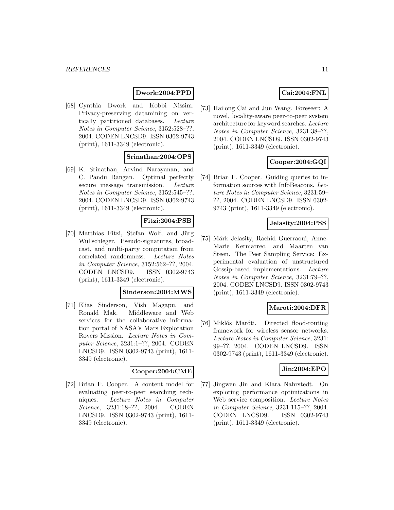# **Dwork:2004:PPD**

[68] Cynthia Dwork and Kobbi Nissim. Privacy-preserving datamining on vertically partitioned databases. Lecture Notes in Computer Science, 3152:528–??, 2004. CODEN LNCSD9. ISSN 0302-9743 (print), 1611-3349 (electronic).

# **Srinathan:2004:OPS**

[69] K. Srinathan, Arvind Narayanan, and C. Pandu Rangan. Optimal perfectly secure message transmission. Lecture Notes in Computer Science, 3152:545–??, 2004. CODEN LNCSD9. ISSN 0302-9743 (print), 1611-3349 (electronic).

# **Fitzi:2004:PSB**

[70] Matthias Fitzi, Stefan Wolf, and Jürg Wullschleger. Pseudo-signatures, broadcast, and multi-party computation from correlated randomness. Lecture Notes in Computer Science, 3152:562–??, 2004. CODEN LNCSD9. ISSN 0302-9743 (print), 1611-3349 (electronic).

### **Sinderson:2004:MWS**

[71] Elias Sinderson, Vish Magapu, and Ronald Mak. Middleware and Web services for the collaborative information portal of NASA's Mars Exploration Rovers Mission. Lecture Notes in Computer Science, 3231:1–??, 2004. CODEN LNCSD9. ISSN 0302-9743 (print), 1611- 3349 (electronic).

### **Cooper:2004:CME**

[72] Brian F. Cooper. A content model for evaluating peer-to-peer searching techniques. Lecture Notes in Computer Science, 3231:18–??, 2004. CODEN LNCSD9. ISSN 0302-9743 (print), 1611- 3349 (electronic).

# **Cai:2004:FNL**

[73] Hailong Cai and Jun Wang. Foreseer: A novel, locality-aware peer-to-peer system architecture for keyword searches. Lecture Notes in Computer Science, 3231:38–??, 2004. CODEN LNCSD9. ISSN 0302-9743 (print), 1611-3349 (electronic).

# **Cooper:2004:GQI**

[74] Brian F. Cooper. Guiding queries to information sources with InfoBeacons. Lecture Notes in Computer Science, 3231:59– ??, 2004. CODEN LNCSD9. ISSN 0302- 9743 (print), 1611-3349 (electronic).

# **Jelasity:2004:PSS**

[75] Márk Jelasity, Rachid Guerraoui, Anne-Marie Kermarrec, and Maarten van Steen. The Peer Sampling Service: Experimental evaluation of unstructured Gossip-based implementations. Lecture Notes in Computer Science, 3231:79–??, 2004. CODEN LNCSD9. ISSN 0302-9743 (print), 1611-3349 (electronic).

# **Maroti:2004:DFR**

[76] Miklós Maróti. Directed flood-routing framework for wireless sensor networks. Lecture Notes in Computer Science, 3231: 99–??, 2004. CODEN LNCSD9. ISSN 0302-9743 (print), 1611-3349 (electronic).

# **Jin:2004:EPO**

[77] Jingwen Jin and Klara Nahrstedt. On exploring performance optimizations in Web service composition. Lecture Notes in Computer Science, 3231:115–??, 2004. CODEN LNCSD9. ISSN 0302-9743 (print), 1611-3349 (electronic).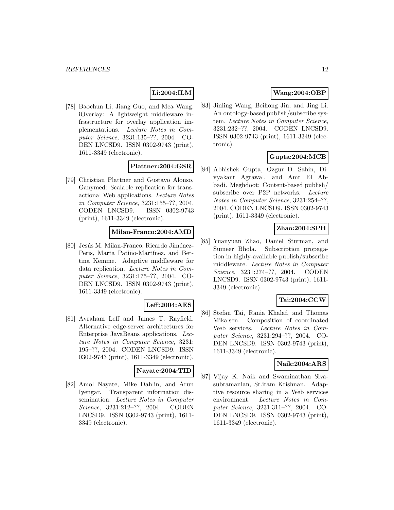# **Li:2004:ILM**

[78] Baochun Li, Jiang Guo, and Mea Wang. iOverlay: A lightweight middleware infrastructure for overlay application implementations. Lecture Notes in Computer Science, 3231:135–??, 2004. CO-DEN LNCSD9. ISSN 0302-9743 (print), 1611-3349 (electronic).

# **Plattner:2004:GSR**

[79] Christian Plattner and Gustavo Alonso. Ganymed: Scalable replication for transactional Web applications. Lecture Notes in Computer Science, 3231:155–??, 2004. CODEN LNCSD9. ISSN 0302-9743 (print), 1611-3349 (electronic).

# **Milan-Franco:2004:AMD**

[80] Jesús M. Milan-Franco, Ricardo Jiménez-Peris, Marta Patiño-Martínez, and Bettina Kemme. Adaptive middleware for data replication. Lecture Notes in Computer Science, 3231:175–??, 2004. CO-DEN LNCSD9. ISSN 0302-9743 (print), 1611-3349 (electronic).

### **Leff:2004:AES**

[81] Avraham Leff and James T. Rayfield. Alternative edge-server architectures for Enterprise JavaBeans applications. Lecture Notes in Computer Science, 3231: 195–??, 2004. CODEN LNCSD9. ISSN 0302-9743 (print), 1611-3349 (electronic).

#### **Nayate:2004:TID**

[82] Amol Nayate, Mike Dahlin, and Arun Iyengar. Transparent information dissemination. Lecture Notes in Computer Science, 3231:212–??, 2004. CODEN LNCSD9. ISSN 0302-9743 (print), 1611- 3349 (electronic).

# **Wang:2004:OBP**

[83] Jinling Wang, Beihong Jin, and Jing Li. An ontology-based publish/subscribe system. Lecture Notes in Computer Science, 3231:232–??, 2004. CODEN LNCSD9. ISSN 0302-9743 (print), 1611-3349 (electronic).

# **Gupta:2004:MCB**

[84] Abhishek Gupta, Ozgur D. Sahin, Divyakant Agrawal, and Amr El Abbadi. Meghdoot: Content-based publish/ subscribe over P2P networks. Lecture Notes in Computer Science, 3231:254–??, 2004. CODEN LNCSD9. ISSN 0302-9743 (print), 1611-3349 (electronic).

# **Zhao:2004:SPH**

[85] Yuanyuan Zhao, Daniel Sturman, and Sumeer Bhola. Subscription propagation in highly-available publish/subscribe middleware. Lecture Notes in Computer Science, 3231:274–??, 2004. CODEN LNCSD9. ISSN 0302-9743 (print), 1611- 3349 (electronic).

# **Tai:2004:CCW**

[86] Stefan Tai, Rania Khalaf, and Thomas Mikalsen. Composition of coordinated Web services. Lecture Notes in Computer Science, 3231:294–??, 2004. CO-DEN LNCSD9. ISSN 0302-9743 (print), 1611-3349 (electronic).

### **Naik:2004:ARS**

[87] Vijay K. Naik and Swaminathan Sivasubramanian, Sr.iram Krishnan. Adaptive resource sharing in a Web services environment. Lecture Notes in Computer Science, 3231:311–??, 2004. CO-DEN LNCSD9. ISSN 0302-9743 (print), 1611-3349 (electronic).